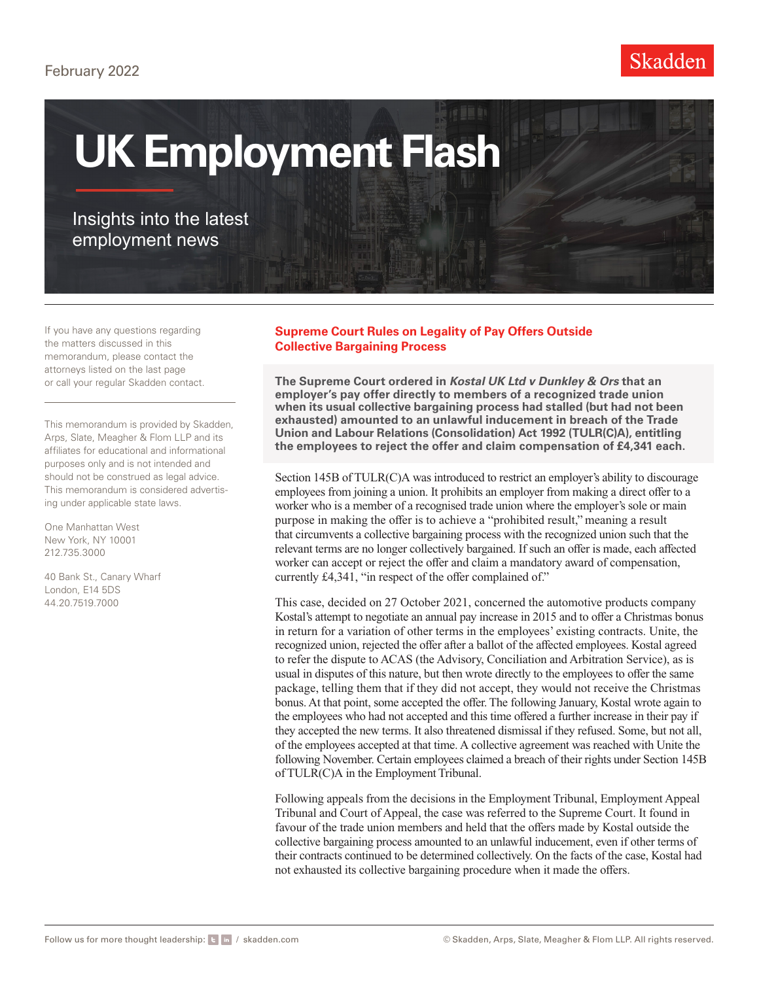#### February 2022



# **UK Employment Flash**

### Insights into the latest employment news

If you have any questions regarding the matters discussed in this memorandum, please contact the attorneys listed on the last page or call your regular Skadden contact.

This memorandum is provided by Skadden, Arps, Slate, Meagher & Flom LLP and its affiliates for educational and informational purposes only and is not intended and should not be construed as legal advice. This memorandum is considered advertising under applicable state laws.

One Manhattan West New York, NY 10001 212.735.3000

40 Bank St., Canary Wharf London, E14 5DS 44.20.7519.7000

#### **Supreme Court Rules on Legality of Pay Offers Outside Collective Bargaining Process**

**The Supreme Court ordered in** *Kostal UK Ltd v Dunkley & Ors* **that an employer's pay offer directly to members of a recognized trade union when its usual collective bargaining process had stalled (but had not been exhausted) amounted to an unlawful inducement in breach of the Trade Union and Labour Relations (Consolidation) Act 1992 (TULR(C)A), entitling the employees to reject the offer and claim compensation of £4,341 each.**

Section 145B of TULR(C)A was introduced to restrict an employer's ability to discourage employees from joining a union. It prohibits an employer from making a direct offer to a worker who is a member of a recognised trade union where the employer's sole or main purpose in making the offer is to achieve a "prohibited result," meaning a result that circumvents a collective bargaining process with the recognized union such that the relevant terms are no longer collectively bargained. If such an offer is made, each affected worker can accept or reject the offer and claim a mandatory award of compensation, currently £4,341, "in respect of the offer complained of."

This case, decided on 27 October 2021, concerned the automotive products company Kostal's attempt to negotiate an annual pay increase in 2015 and to offer a Christmas bonus in return for a variation of other terms in the employees' existing contracts. Unite, the recognized union, rejected the offer after a ballot of the affected employees. Kostal agreed to refer the dispute to ACAS (the Advisory, Conciliation and Arbitration Service), as is usual in disputes of this nature, but then wrote directly to the employees to offer the same package, telling them that if they did not accept, they would not receive the Christmas bonus. At that point, some accepted the offer. The following January, Kostal wrote again to the employees who had not accepted and this time offered a further increase in their pay if they accepted the new terms. It also threatened dismissal if they refused. Some, but not all, of the employees accepted at that time. A collective agreement was reached with Unite the following November. Certain employees claimed a breach of their rights under Section 145B of TULR(C)A in the Employment Tribunal.

Following appeals from the decisions in the Employment Tribunal, Employment Appeal Tribunal and Court of Appeal, the case was referred to the Supreme Court. It found in favour of the trade union members and held that the offers made by Kostal outside the collective bargaining process amounted to an unlawful inducement, even if other terms of their contracts continued to be determined collectively. On the facts of the case, Kostal had not exhausted its collective bargaining procedure when it made the offers.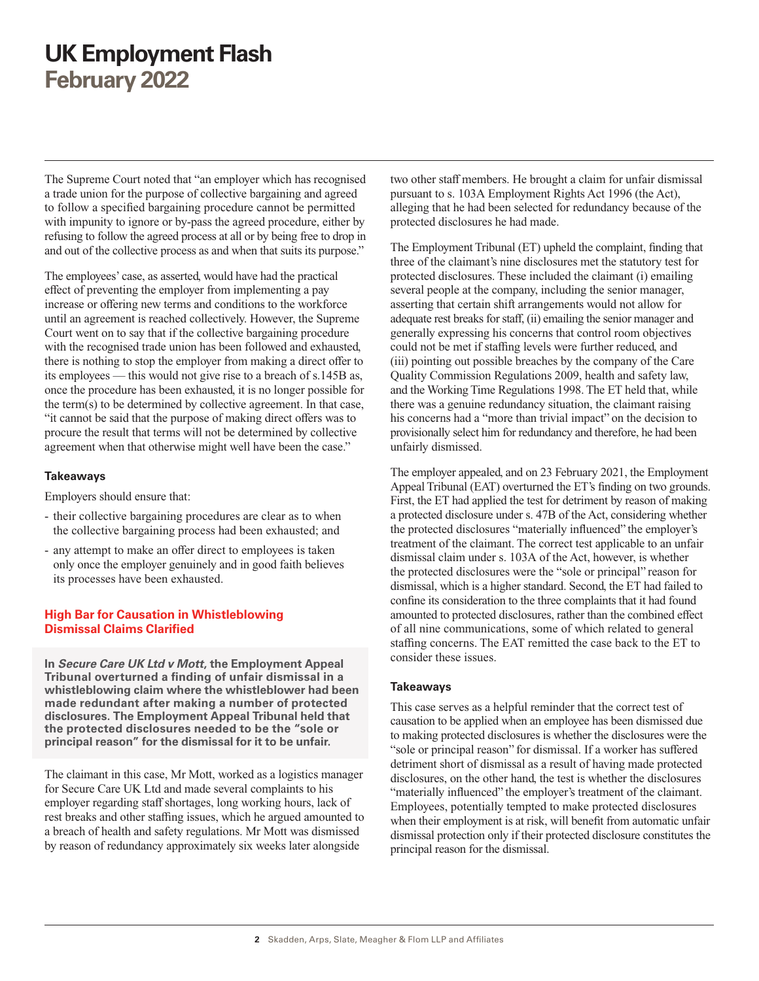The Supreme Court noted that "an employer which has recognised a trade union for the purpose of collective bargaining and agreed to follow a specified bargaining procedure cannot be permitted with impunity to ignore or by-pass the agreed procedure, either by refusing to follow the agreed process at all or by being free to drop in and out of the collective process as and when that suits its purpose."

The employees' case, as asserted, would have had the practical effect of preventing the employer from implementing a pay increase or offering new terms and conditions to the workforce until an agreement is reached collectively. However, the Supreme Court went on to say that if the collective bargaining procedure with the recognised trade union has been followed and exhausted, there is nothing to stop the employer from making a direct offer to its employees — this would not give rise to a breach of s.145B as, once the procedure has been exhausted, it is no longer possible for the term(s) to be determined by collective agreement. In that case, "it cannot be said that the purpose of making direct offers was to procure the result that terms will not be determined by collective agreement when that otherwise might well have been the case."

#### **Takeaways**

Employers should ensure that:

- their collective bargaining procedures are clear as to when the collective bargaining process had been exhausted; and
- any attempt to make an offer direct to employees is taken only once the employer genuinely and in good faith believes its processes have been exhausted.

#### **High Bar for Causation in Whistleblowing Dismissal Claims Clarified**

**In** *Secure Care UK Ltd v Mott***, the Employment Appeal Tribunal overturned a finding of unfair dismissal in a whistleblowing claim where the whistleblower had been made redundant after making a number of protected disclosures. The Employment Appeal Tribunal held that the protected disclosures needed to be the "sole or principal reason" for the dismissal for it to be unfair.** 

The claimant in this case, Mr Mott, worked as a logistics manager for Secure Care UK Ltd and made several complaints to his employer regarding staff shortages, long working hours, lack of rest breaks and other staffing issues, which he argued amounted to a breach of health and safety regulations. Mr Mott was dismissed by reason of redundancy approximately six weeks later alongside

two other staff members. He brought a claim for unfair dismissal pursuant to s. 103A Employment Rights Act 1996 (the Act), alleging that he had been selected for redundancy because of the protected disclosures he had made.

The Employment Tribunal (ET) upheld the complaint, finding that three of the claimant's nine disclosures met the statutory test for protected disclosures. These included the claimant (i) emailing several people at the company, including the senior manager, asserting that certain shift arrangements would not allow for adequate rest breaks for staff, (ii) emailing the senior manager and generally expressing his concerns that control room objectives could not be met if staffing levels were further reduced, and (iii) pointing out possible breaches by the company of the Care Quality Commission Regulations 2009, health and safety law, and the Working Time Regulations 1998. The ET held that, while there was a genuine redundancy situation, the claimant raising his concerns had a "more than trivial impact" on the decision to provisionally select him for redundancy and therefore, he had been unfairly dismissed.

The employer appealed, and on 23 February 2021, the Employment Appeal Tribunal (EAT) overturned the ET's finding on two grounds. First, the ET had applied the test for detriment by reason of making a protected disclosure under s. 47B of the Act, considering whether the protected disclosures "materially influenced" the employer's treatment of the claimant. The correct test applicable to an unfair dismissal claim under s. 103A of the Act, however, is whether the protected disclosures were the "sole or principal" reason for dismissal, which is a higher standard. Second, the ET had failed to confine its consideration to the three complaints that it had found amounted to protected disclosures, rather than the combined effect of all nine communications, some of which related to general staffing concerns. The EAT remitted the case back to the ET to consider these issues.

#### **Takeaways**

This case serves as a helpful reminder that the correct test of causation to be applied when an employee has been dismissed due to making protected disclosures is whether the disclosures were the "sole or principal reason" for dismissal. If a worker has suffered detriment short of dismissal as a result of having made protected disclosures, on the other hand, the test is whether the disclosures "materially influenced" the employer's treatment of the claimant. Employees, potentially tempted to make protected disclosures when their employment is at risk, will benefit from automatic unfair dismissal protection only if their protected disclosure constitutes the principal reason for the dismissal.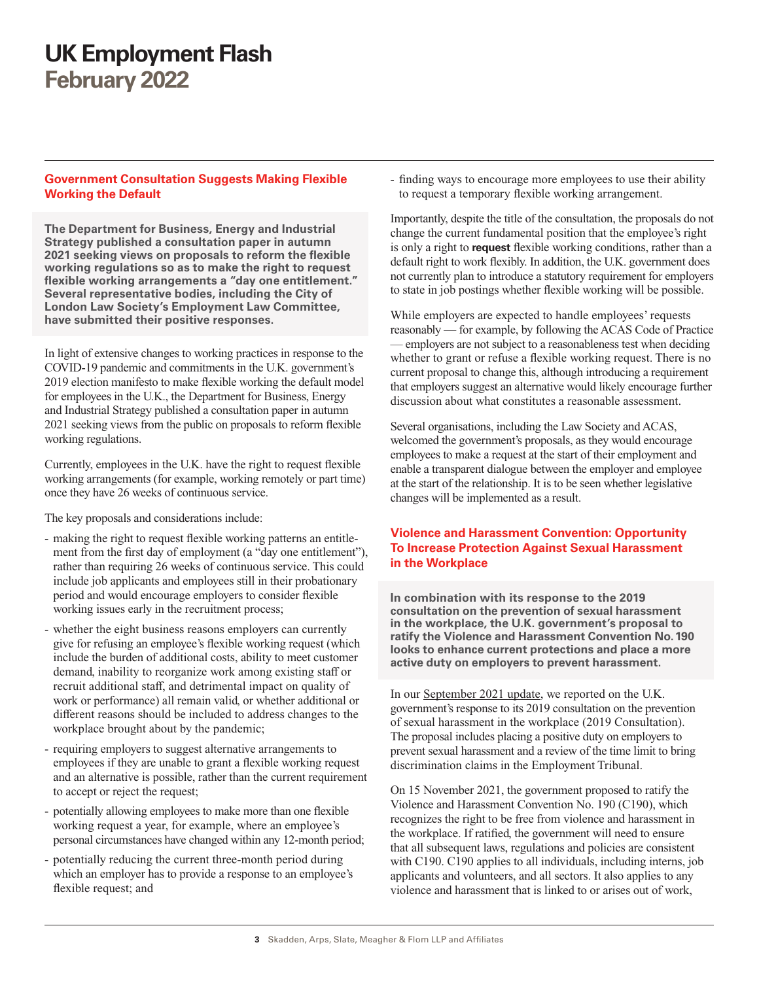#### **Government Consultation Suggests Making Flexible Working the Default**

**The Department for Business, Energy and Industrial Strategy published a consultation paper in autumn 2021 seeking views on proposals to reform the flexible working regulations so as to make the right to request flexible working arrangements a "day one entitlement." Several representative bodies, including the City of London Law Society's Employment Law Committee, have submitted their positive responses.**

In light of extensive changes to working practices in response to the COVID-19 pandemic and commitments in the U.K. government's 2019 election manifesto to make flexible working the default model for employees in the U.K., the Department for Business, Energy and Industrial Strategy published a consultation paper in autumn 2021 seeking views from the public on proposals to reform flexible working regulations.

Currently, employees in the U.K. have the right to request flexible working arrangements (for example, working remotely or part time) once they have 26 weeks of continuous service.

The key proposals and considerations include:

- making the right to request flexible working patterns an entitlement from the first day of employment (a "day one entitlement"), rather than requiring 26 weeks of continuous service. This could include job applicants and employees still in their probationary period and would encourage employers to consider flexible working issues early in the recruitment process;
- whether the eight business reasons employers can currently give for refusing an employee's flexible working request (which include the burden of additional costs, ability to meet customer demand, inability to reorganize work among existing staff or recruit additional staff, and detrimental impact on quality of work or performance) all remain valid, or whether additional or different reasons should be included to address changes to the workplace brought about by the pandemic;
- requiring employers to suggest alternative arrangements to employees if they are unable to grant a flexible working request and an alternative is possible, rather than the current requirement to accept or reject the request;
- potentially allowing employees to make more than one flexible working request a year, for example, where an employee's personal circumstances have changed within any 12-month period;
- potentially reducing the current three-month period during which an employer has to provide a response to an employee's flexible request; and

- finding ways to encourage more employees to use their ability to request a temporary flexible working arrangement.

Importantly, despite the title of the consultation, the proposals do not change the current fundamental position that the employee's right is only a right to **request** flexible working conditions, rather than a default right to work flexibly. In addition, the U.K. government does not currently plan to introduce a statutory requirement for employers to state in job postings whether flexible working will be possible.

While employers are expected to handle employees' requests reasonably — for example, by following the ACAS Code of Practice — employers are not subject to a reasonableness test when deciding whether to grant or refuse a flexible working request. There is no current proposal to change this, although introducing a requirement that employers suggest an alternative would likely encourage further discussion about what constitutes a reasonable assessment.

Several organisations, including the Law Society and ACAS, welcomed the government's proposals, as they would encourage employees to make a request at the start of their employment and enable a transparent dialogue between the employer and employee at the start of the relationship. It is to be seen whether legislative changes will be implemented as a result.

#### **Violence and Harassment Convention: Opportunity To Increase Protection Against Sexual Harassment in the Workplace**

**In combination with its response to the 2019 consultation on the prevention of sexual harassment in the workplace, the U.K. government's proposal to ratify the Violence and Harassment Convention No. 190 looks to enhance current protections and place a more active duty on employers to prevent harassment.** 

In our [September 2021 update](https://www.skadden.com/en/insights/publications/2021/09/uk-employment-flash), we reported on the U.K. government's response to its 2019 consultation on the prevention of sexual harassment in the workplace (2019 Consultation). The proposal includes placing a positive duty on employers to prevent sexual harassment and a review of the time limit to bring discrimination claims in the Employment Tribunal.

On 15 November 2021, the government proposed to ratify the Violence and Harassment Convention No. 190 (C190), which recognizes the right to be free from violence and harassment in the workplace. If ratified, the government will need to ensure that all subsequent laws, regulations and policies are consistent with C190. C190 applies to all individuals, including interns, job applicants and volunteers, and all sectors. It also applies to any violence and harassment that is linked to or arises out of work,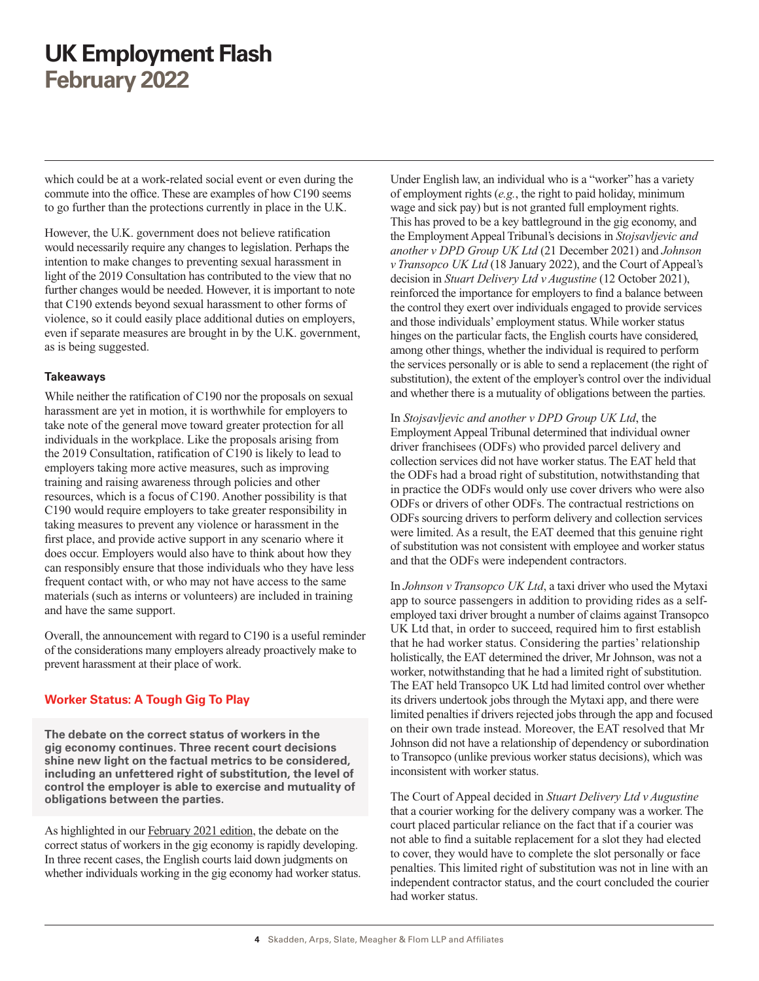which could be at a work-related social event or even during the commute into the office. These are examples of how C190 seems to go further than the protections currently in place in the U.K.

However, the U.K. government does not believe ratification would necessarily require any changes to legislation. Perhaps the intention to make changes to preventing sexual harassment in light of the 2019 Consultation has contributed to the view that no further changes would be needed. However, it is important to note that C190 extends beyond sexual harassment to other forms of violence, so it could easily place additional duties on employers, even if separate measures are brought in by the U.K. government, as is being suggested.

#### **Takeaways**

While neither the ratification of C190 nor the proposals on sexual harassment are yet in motion, it is worthwhile for employers to take note of the general move toward greater protection for all individuals in the workplace. Like the proposals arising from the 2019 Consultation, ratification of C190 is likely to lead to employers taking more active measures, such as improving training and raising awareness through policies and other resources, which is a focus of C190. Another possibility is that C190 would require employers to take greater responsibility in taking measures to prevent any violence or harassment in the first place, and provide active support in any scenario where it does occur. Employers would also have to think about how they can responsibly ensure that those individuals who they have less frequent contact with, or who may not have access to the same materials (such as interns or volunteers) are included in training and have the same support.

Overall, the announcement with regard to C190 is a useful reminder of the considerations many employers already proactively make to prevent harassment at their place of work.

#### **Worker Status: A Tough Gig To Play**

**The debate on the correct status of workers in the gig economy continues. Three recent court decisions shine new light on the factual metrics to be considered, including an unfettered right of substitution, the level of control the employer is able to exercise and mutuality of obligations between the parties.**

As highlighted in our [February 2021 edition,](https://www.skadden.com/insights/publications/2021/02/uk-employment-flash) the debate on the correct status of workers in the gig economy is rapidly developing. In three recent cases, the English courts laid down judgments on whether individuals working in the gig economy had worker status. Under English law, an individual who is a "worker" has a variety of employment rights (*e.g.*, the right to paid holiday, minimum wage and sick pay) but is not granted full employment rights. This has proved to be a key battleground in the gig economy, and the Employment Appeal Tribunal's decisions in *Stojsavljevic and another v DPD Group UK Ltd* (21 December 2021) and *Johnson v Transopco UK Ltd* (18 January 2022), and the Court of Appeal's decision in *Stuart Delivery Ltd v Augustine* (12 October 2021), reinforced the importance for employers to find a balance between the control they exert over individuals engaged to provide services and those individuals' employment status. While worker status hinges on the particular facts, the English courts have considered, among other things, whether the individual is required to perform the services personally or is able to send a replacement (the right of substitution), the extent of the employer's control over the individual and whether there is a mutuality of obligations between the parties.

In *Stojsavljevic and another v DPD Group UK Ltd*, the Employment Appeal Tribunal determined that individual owner driver franchisees (ODFs) who provided parcel delivery and collection services did not have worker status. The EAT held that the ODFs had a broad right of substitution, notwithstanding that in practice the ODFs would only use cover drivers who were also ODFs or drivers of other ODFs. The contractual restrictions on ODFs sourcing drivers to perform delivery and collection services were limited. As a result, the EAT deemed that this genuine right of substitution was not consistent with employee and worker status and that the ODFs were independent contractors.

In *Johnson v Transopco UK Ltd*, a taxi driver who used the Mytaxi app to source passengers in addition to providing rides as a selfemployed taxi driver brought a number of claims against Transopco UK Ltd that, in order to succeed, required him to first establish that he had worker status. Considering the parties' relationship holistically, the EAT determined the driver, Mr Johnson, was not a worker, notwithstanding that he had a limited right of substitution. The EAT held Transopco UK Ltd had limited control over whether its drivers undertook jobs through the Mytaxi app, and there were limited penalties if drivers rejected jobs through the app and focused on their own trade instead. Moreover, the EAT resolved that Mr Johnson did not have a relationship of dependency or subordination to Transopco (unlike previous worker status decisions), which was inconsistent with worker status.

The Court of Appeal decided in *Stuart Delivery Ltd v Augustine* that a courier working for the delivery company was a worker. The court placed particular reliance on the fact that if a courier was not able to find a suitable replacement for a slot they had elected to cover, they would have to complete the slot personally or face penalties. This limited right of substitution was not in line with an independent contractor status, and the court concluded the courier had worker status.